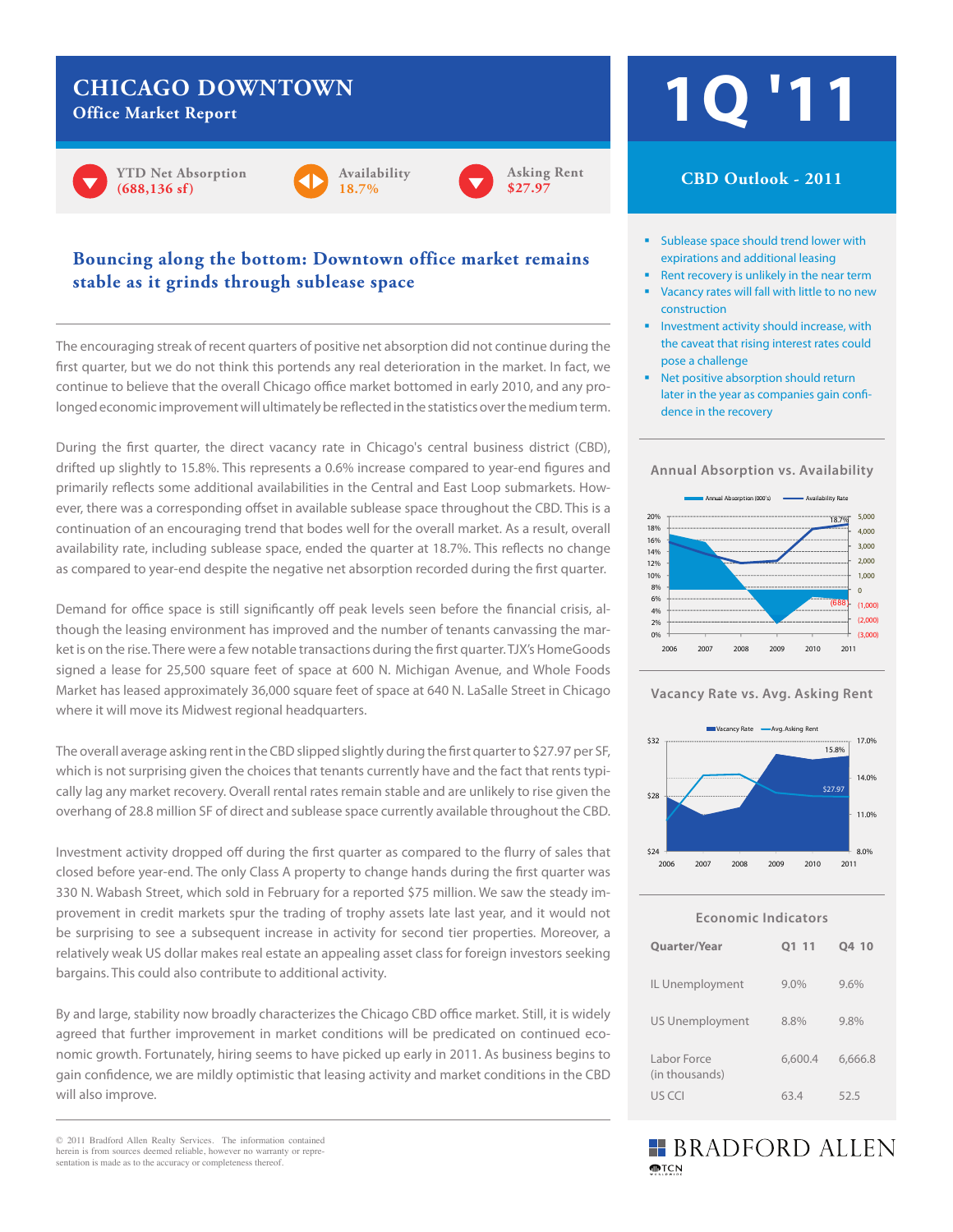## **CHICAGO DOWNTOWN**

**Office Market Report**









### **Bouncing along the bottom: Downtown office market remains stable as it grinds through sublease space**

The encouraging streak of recent quarters of positive net absorption did not continue during the first quarter, but we do not think this portends any real deterioration in the market. In fact, we continue to believe that the overall Chicago office market bottomed in early 2010, and any prolonged economic improvement will ultimately be reflected in the statistics over the medium term.

During the first quarter, the direct vacancy rate in Chicago's central business district (CBD), drifted up slightly to 15.8%. This represents a 0.6% increase compared to year-end figures and primarily reflects some additional availabilities in the Central and East Loop submarkets. However, there was a corresponding offset in available sublease space throughout the CBD. This is a continuation of an encouraging trend that bodes well for the overall market. As a result, overall availability rate, including sublease space, ended the quarter at 18.7%. This reflects no change as compared to year-end despite the negative net absorption recorded during the first quarter.

Demand for office space is still significantly off peak levels seen before the financial crisis, although the leasing environment has improved and the number of tenants canvassing the market is on the rise. There were a few notable transactions during the first quarter. TJX's HomeGoods signed a lease for 25,500 square feet of space at 600 N. Michigan Avenue, and Whole Foods Market has leased approximately 36,000 square feet of space at 640 N. LaSalle Street in Chicago where it will move its Midwest regional headquarters.

The overall average asking rent in the CBD slipped slightly during the first quarter to \$27.97 per SF, which is not surprising given the choices that tenants currently have and the fact that rents typically lag any market recovery. Overall rental rates remain stable and are unlikely to rise given the overhang of 28.8 million SF of direct and sublease space currently available throughout the CBD.

Investment activity dropped off during the first quarter as compared to the flurry of sales that closed before year-end. The only Class A property to change hands during the first quarter was 330 N. Wabash Street, which sold in February for a reported \$75 million. We saw the steady improvement in credit markets spur the trading of trophy assets late last year, and it would not be surprising to see a subsequent increase in activity for second tier properties. Moreover, a relatively weak US dollar makes real estate an appealing asset class for foreign investors seeking bargains. This could also contribute to additional activity.

By and large, stability now broadly characterizes the Chicago CBD office market. Still, it is widely agreed that further improvement in market conditions will be predicated on continued economic growth. Fortunately, hiring seems to have picked up early in 2011. As business begins to gain confidence, we are mildly optimistic that leasing activity and market conditions in the CBD will also improve.

© 2011 Bradford Allen Realty Services. The information contained herein is from sources deemed reliable, however no warranty or representation is made as to the accuracy or completeness thereof.

# **1Q '11**

#### **CBD Outlook - 2011**

- **Sublease space should trend lower with** expirations and additional leasing
- Rent recovery is unlikely in the near term
- **Vacancy rates will fall with little to no new** construction
- **Investment activity should increase, with** the caveat that rising interest rates could pose a challenge
- dence in the recovery<br>dence in the recovery ■ Net positive absorption should return later in the year as companies gain confi-

**Annual Absorption vs. Availability**







| <b>Economic Indicators</b>    |         |         |  |  |  |
|-------------------------------|---------|---------|--|--|--|
| <b>Quarter/Year</b>           | 01 11   | Q4 10   |  |  |  |
| IL Unemployment               | $9.0\%$ | 9.6%    |  |  |  |
| <b>US Unemployment</b>        | 8.8%    | 9.8%    |  |  |  |
| Labor Force<br>(in thousands) | 6,600.4 | 6,666.8 |  |  |  |
| US CCI                        | 63.4    | 52.5    |  |  |  |

## **BRADFORD ALLEN MPTCN**